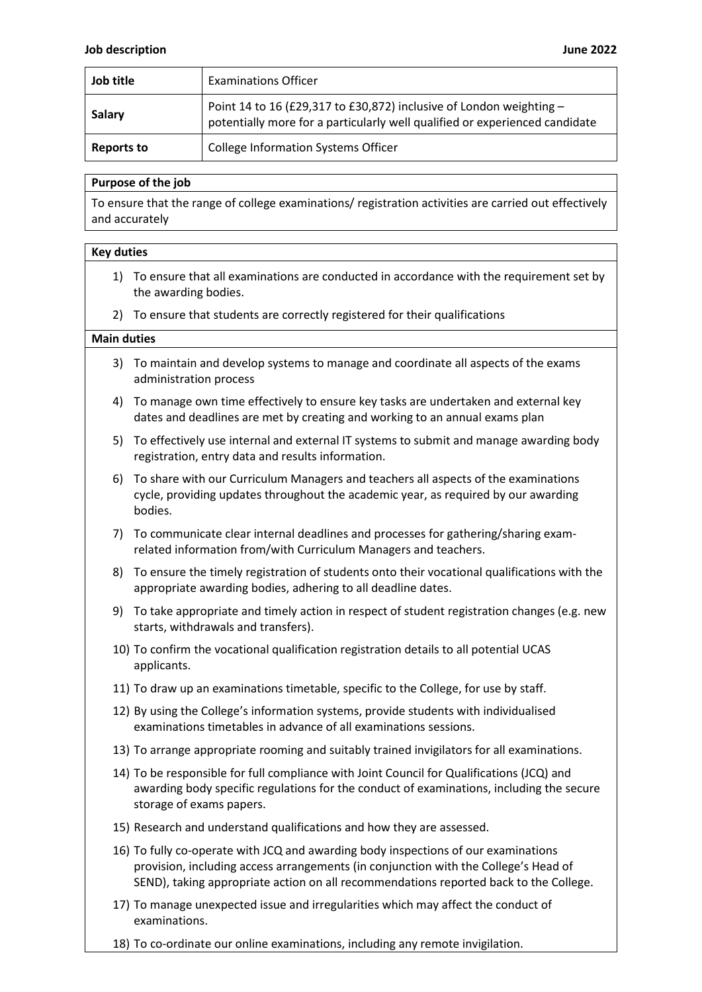| Job title         | <b>Examinations Officer</b>                                                                                                                        |
|-------------------|----------------------------------------------------------------------------------------------------------------------------------------------------|
| Salary            | Point 14 to 16 (£29,317 to £30,872) inclusive of London weighting -<br>potentially more for a particularly well qualified or experienced candidate |
| <b>Reports to</b> | <b>College Information Systems Officer</b>                                                                                                         |

## **Purpose of the job**

To ensure that the range of college examinations/ registration activities are carried out effectively and accurately

## **Key duties**

- 1) To ensure that all examinations are conducted in accordance with the requirement set by the awarding bodies.
- 2) To ensure that students are correctly registered for their qualifications

## **Main duties**

- 3) To maintain and develop systems to manage and coordinate all aspects of the exams administration process
- 4) To manage own time effectively to ensure key tasks are undertaken and external key dates and deadlines are met by creating and working to an annual exams plan
- 5) To effectively use internal and external IT systems to submit and manage awarding body registration, entry data and results information.
- 6) To share with our Curriculum Managers and teachers all aspects of the examinations cycle, providing updates throughout the academic year, as required by our awarding bodies.
- 7) To communicate clear internal deadlines and processes for gathering/sharing examrelated information from/with Curriculum Managers and teachers.
- 8) To ensure the timely registration of students onto their vocational qualifications with the appropriate awarding bodies, adhering to all deadline dates.
- 9) To take appropriate and timely action in respect of student registration changes (e.g. new starts, withdrawals and transfers).
- 10) To confirm the vocational qualification registration details to all potential UCAS applicants.
- 11) To draw up an examinations timetable, specific to the College, for use by staff.
- 12) By using the College's information systems, provide students with individualised examinations timetables in advance of all examinations sessions.
- 13) To arrange appropriate rooming and suitably trained invigilators for all examinations.
- 14) To be responsible for full compliance with Joint Council for Qualifications (JCQ) and awarding body specific regulations for the conduct of examinations, including the secure storage of exams papers.
- 15) Research and understand qualifications and how they are assessed.
- 16) To fully co-operate with JCQ and awarding body inspections of our examinations provision, including access arrangements (in conjunction with the College's Head of SEND), taking appropriate action on all recommendations reported back to the College.
- 17) To manage unexpected issue and irregularities which may affect the conduct of examinations.
- 18) To co-ordinate our online examinations, including any remote invigilation.